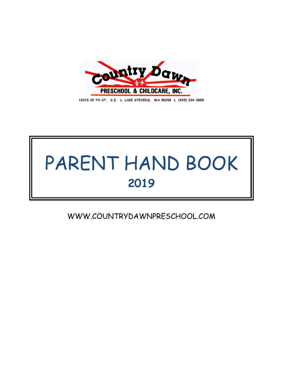

**10315 20 TH ST. S.E. LAKE STEVENS, WA 98258 (425) 334-3885**

# PARENT HAND BOOK **2019**

WWW.COUNTRYDAWNPRESCHOOL.COM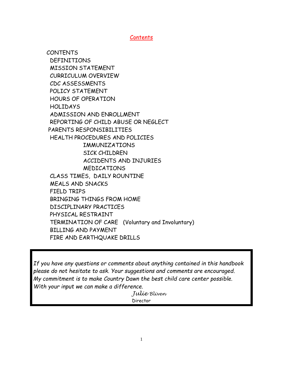Contents

 CONTENTS DEFINITIONS MISSION STATEMENT CURRICULUM OVERVIEW CDC ASSESSMENTS POLICY STATEMENT HOURS OF OPERATION HOLIDAYS ADMISSION AND ENROLLMENT REPORTING OF CHILD ABUSE OR NEGLECT PARENTS RESPONSIBILITIES HEALTH PROCEDURES AND POLICIES IMMUNIZATIONS SICK CHILDREN ACCIDENTS AND INJURIES MEDICATIONS CLASS TIMES, DAILY ROUNTINE MEALS AND SNACKS FIELD TRIPS BRINGING THINGS FROM HOME DISCIPLINARY PRACTICES PHYSICAL RESTRAINT TERMINATION OF CARE (Voluntary and Involuntary) BILLING AND PAYMENT FIRE AND EARTHQUAKE DRILLS

*If you have any questions or comments about anything contained in this handbook please do not hesitate to ask. Your suggestions and comments are encouraged. My commitment is to make Country Dawn the best child care center possible. With your input we can make a difference.*

 *Julie Bliven* Director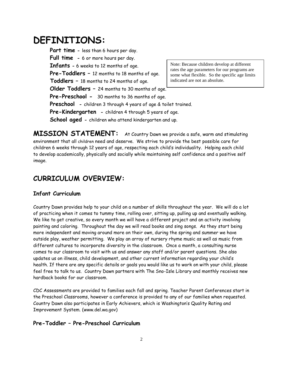# **DEFINITIONS:**

**Part time -** less than 6 hours per day. **Full time -** 6 or more hours per day. **Infants -** 6 weeks to 12 months of age. **Pre-Toddlers –** 12 months to 18 months of age.  **Toddlers –** 18 months to 24 months of age. **Older Toddlers –** 24 months to 30 months of age. **Pre-Preschool -** 30 months to 36 months of age. **Preschool -** children 3 through 4 years of age & toilet trained. **Pre-Kindergarten -** children 4 through 5 years of age. **School aged -** children who attend kindergarten and up.

**MISSION STATEMENT:** At Country Dawn we provide a safe, warm and stimulating environment that all children need and deserve. We strive to provide the best possible care for children 6 weeks through 12 years of age, respecting each child's individuality. Helping each child to develop academically, physically and socially while maintaining self confidence and a positive self image.

## **CURRICULUM OVERVIEW:**

## **Infant Curriculum**

Country Dawn provides help to your child on a number of skills throughout the year. We will do a lot of practicing when it comes to tummy time, rolling over, sitting up, pulling up and eventually walking. We like to get creative, so every month we will have a different project and an activity involving painting and coloring. Throughout the day we will read books and sing songs. As they start being more independent and moving around more on their own, during the spring and summer we have outside play, weather permitting. We play an array of nursery rhyme music as well as music from different cultures to incorporate diversity in the classroom. Once a month, a consulting nurse comes to our classroom to visit with us and answer any staff and/or parent questions. She also updates us on illness, child development, and other current information regarding your child's health. If there are any specific details or goals you would like us to work on with your child, please feel free to talk to us. Country Dawn partners with The Sno-Isle Library and monthly receives new hardback books for our classroom.

CDC Assessments are provided to families each fall and spring. Teacher Parent Conferences start in the Preschool Classrooms, however a conference is provided to any of our families when requested. Country Dawn also participates in Early Achievers, which is Washington's Quality Rating and Improvement System. (www.del.wa.gov)

## **Pre-Toddler – Pre-Preschool Curriculum**

Note: Because children develop at different rates the age parameters for our programs are some what flexible. So the specific age limits indicated are not an absolute.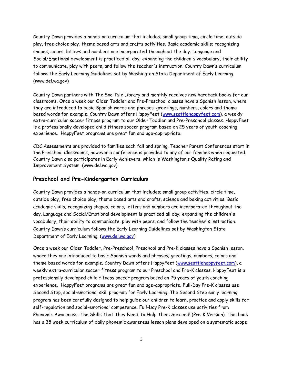Country Dawn provides a hands-on curriculum that includes; small group time, circle time, outside play, free choice play, theme based arts and crafts activities. Basic academic skills; recognizing shapes, colors, letters and numbers are incorporated throughout the day. Language and Social/Emotional development is practiced all day; expanding the children's vocabulary, their ability to communicate, play with peers, and follow the teacher's instruction. Country Dawn's curriculum follows the Early Learning Guidelines set by Washington State Department of Early Learning. (www.del.wa.gov)

Country Dawn partners with The Sno-Isle Library and monthly receives new hardback books for our classrooms. Once a week our Older Toddler and Pre-Preschool classes have a Spanish lesson, where they are introduced to basic Spanish words and phrases; greetings, numbers, colors and theme based words for example. Country Dawn offers HappyFeet [\(www.seattlehappyfeet.com\)](http://www.seattlehappyfeet.com/), a weekly extra-curricular soccer fitness program to our Older Toddler and Pre-Preschool classes. HappyFeet is a professionally developed child fitness soccer program based on 25 years of youth coaching experience. HappyFeet programs are great fun and age-appropriate.

CDC Assessments are provided to families each fall and spring. Teacher Parent Conferences start in the Preschool Classrooms, however a conference is provided to any of our families when requested. Country Dawn also participates in Early Achievers, which is Washington's Quality Rating and Improvement System. (www.del.wa.gov)

#### **Preschool and Pre-Kindergarten Curriculum**

Country Dawn provides a hands-on curriculum that includes; small group activities, circle time, outside play, free choice play, theme based arts and crafts, science and baking activities. Basic academic skills; recognizing shapes, colors, letters and numbers are incorporated throughout the day. Language and Social/Emotional development is practiced all day; expanding the children's vocabulary, their ability to communicate, play with peers, and follow the teacher's instruction. Country Dawn's curriculum follows the Early Learning Guidelines set by Washington State Department of Early Learning. [\(www.del.wa.gov\)](http://www.del.wa.gov/)

Once a week our Older Toddler, Pre-Preschool, Preschool and Pre-K classes have a Spanish lesson, where they are introduced to basic Spanish words and phrases; greetings, numbers, colors and theme based words for example. Country Dawn offers HappyFeet [\(www.seattlehappyfeet.com\)](http://www.seattlehappyfeet.com/), a weekly extra-curricular soccer fitness program to our Preschool and Pre-K classes. HappyFeet is a professionally developed child fitness soccer program based on 25 years of youth coaching experience. HappyFeet programs are great fun and age-appropriate. Full-Day Pre-K classes use Second Step, social-emotional skill program for Early Learning. The Second Step early learning program has been carefully designed to help guide our children to learn, practice and apply skills for self-regulation and social-emotional competence. Full-Day Pre-K classes use activities from Phonemic Awareness: The Skills That They Need To Help Them Succeed! (Pre-K Version). This book has a 35 week curriculum of daily phonemic awareness lesson plans developed on a systematic scope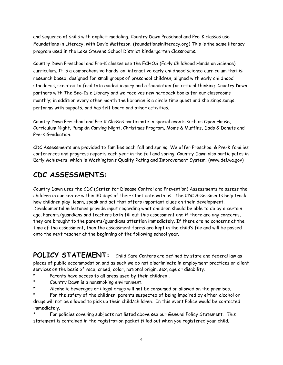and sequence of skills with explicit modeling. Country Dawn Preschool and Pre-K classes use Foundations in Literacy, with David Matteson. (foundationsinliteracy.org) This is the same literacy program used in the Lake Stevens School District Kindergarten Classrooms.

Country Dawn Preschool and Pre-K classes use the ECHOS (Early Childhood Hands on Science) curriculum. It is a comprehensive hands-on, interactive early childhood science curriculum that is: research based, designed for small groups of preschool children, aligned with early childhood standards, scripted to facilitate guided inquiry and a foundation for critical thinking. Country Dawn partners with The Sno-Isle Library and we receives new hardback books for our classrooms monthly; in addition every other month the librarian is a circle time guest and she sings songs, performs with puppets, and has felt board and other activities.

Country Dawn Preschool and Pre-K Classes participate in special events such as Open House, Curriculum Night, Pumpkin Carving Night, Christmas Program, Moms & Muffins, Dads & Donuts and Pre-K Graduation.

CDC Assessments are provided to families each fall and spring. We offer Preschool & Pre-K families conferences and progress reports each year in the fall and spring. Country Dawn also participates in Early Achievers, which is Washington's Quality Rating and Improvement System. (www.del.wa.gov)

# **CDC ASSESSMENTS:**

Country Dawn uses the CDC (Center for Disease Control and Prevention) Assessments to assess the children in our center within 30 days of their start date with us. The CDC Assessments help track how children play, learn, speak and act that offers important clues on their development. Developmental milestones provide input regarding what children should be able to do by a certain age. Parents/guardians and teachers both fill out this assessment and if there are any concerns, they are brought to the parents/guardians attention immediately. If there are no concerns at the time of the assessment, then the assessment forms are kept in the child's file and will be passed onto the next teacher at the beginning of the following school year.

POLICY STATEMENT: Child Care Centers are defined by state and federal law as places of public accommodation and as such we do not discriminate in employment practices or client services on the basis of race, creed, color, national origin, sex, age or disability.

- Parents have access to all areas used by their children.
- \* Country Dawn is a nonsmoking environment.
- \* Alcoholic beverages or illegal drugs will not be consumed or allowed on the premises.
- For the safety of the children, parents suspected of being impaired by either alcohol or drugs will not be allowed to pick up their child/children. In this event Police would be contacted immediately.

For policies covering subjects not listed above see our General Policy Statement. This statement is contained in the registration packet filled out when you registered your child.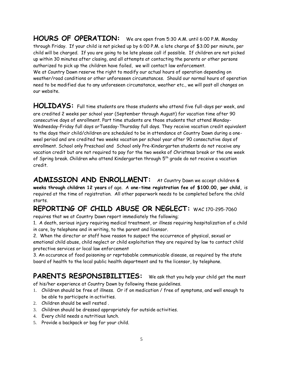**HOURS OF OPERATION:** We are open from 5:30 A.M. until 6:00 P.M. Monday through Friday. If your child is not picked up by 6:00 P.M. a late charge of \$3.00 per minute, per child will be charged. If you are going to be late please call if possible. If children are not picked up within 30 minutes after closing, and all attempts at contacting the parents or other persons authorized to pick up the children have failed, we will contact law enforcement. We at Country Dawn reserve the right to modify our actual hours of operation depending on

weather/road conditions or other unforeseen circumstances. Should our normal hours of operation need to be modified due to any unforeseen circumstance, weather etc., we will post all changes on our website.

**HOLIDAYS:** Full time students are those students who attend five full-days per week, and are credited 2 weeks per school year (September through August) for vacation time after 90 consecutive days of enrollment. Part time students are those students that attend Monday-Wednesday-Friday full days orTuesday-Thursday full days. They receive vacation credit equivalent to the days their child/children are scheduled to be in attendance at Country Dawn during a oneweel period and are credited two weeks vacation per school year after 90 consectutive days of enrollment. School only Preschool and School only Pre-Kindergarten students do not receive any vacation credit but are not required to pay for the two weeks of Christmas break or the one week of Spring break. Children who attend Kindergarten through 5<sup>th</sup> grade do not receive a vacation credit.

**ADMISSION AND ENROLLMENT:** At Country Dawn we accept children **<sup>6</sup> weeks through children 12 years** of age. A **one-time registration fee of \$100.00, per child,** is required at the time of registration. All other paperwork needs to be completed before the child starts.

# **REPORTING OF CHILD ABUSE OR NEGLECT:** WAC 170-295-7060

requires that we at Country Dawn report immediately the following;

1. A death, serious injury requiring medical treatment, or illness requiring hospitalization of a child in care, by telephone and in writing, to the parent and licensor.

2. When the director or staff have reason to suspect the occurrence of physical, sexual or emotional child abuse, child neglect or child exploitation they are required by law to contact child protective services or local law enforcement

3. An occurance of food poisoning or reprtabable communicable disease, as required by the state board of health to the local public health department and to the licensor, by telephone.

# **PARENTS RESPONSIBILITIES:** We ask that you help your child get the most

of his/her experience at Country Dawn by following these guidelines.

- 1. Children should be free of illness. Or if on medication / free of symptoms, and well enough to be able to participate in activities.
- 2. Children should be well rested
- 3. Children should be dressed appropriately for outside activities.
- 4. Every child needs a nutritious lunch.
- 5. Provide a backpack or bag for your child.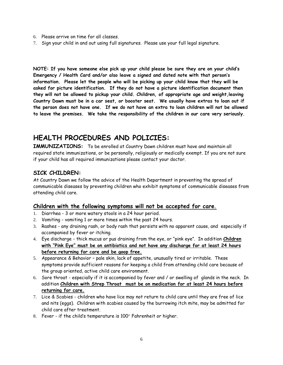- 6. Please arrive on time for all classes.
- 7. Sign your child in and out using full signatures. Please use your full legal signature.

**NOTE: If you have someone else pick up your child please be sure they are on your child's Emergency / Health Card and/or also leave a signed and dated note with that person's information. Please let the people who will be picking up your child know that they will be asked for picture identification. If they do not have a picture identification document then they will not be allowed to pickup your child. Children, of appropriate age and weight,leaving Country Dawn must be in a car seat, or booster seat. We usually have extras to loan out if the person does not have one. If we do not have an extra to loan children will not be allowed to leave the premises. We take the responsibility of the children in our care very seriously.** 

## **HEALTH PROCEDURES AND POLICIES:**

**IMMUNIZATIONS:** To be enrolled at Country Dawn children must have and maintain all required state immunizations, or be personally, religiously or medically exempt. If you are not sure if your child has all required immunizations please contact your doctor.

## **SICK CHILDREN:**

At Country Dawn we follow the advice of the Health Department in preventing the spread of communicable diseases by preventing children who exhibit symptoms of communicable diseases from attending child care.

## **Children with the following symptoms will not be accepted for care.**

- 1. Diarrhea 3 or more watery stools in a 24 hour period.
- 2. Vomiting vomiting 1 or more times within the past 24 hours.
- 3. Rashes any draining rash, or body rash that persists with no apparent cause, and especially if accompanied by fever or itching.
- 4. Eye discharge thick mucus or pus draining from the eye, or "pink eye". In addition **Children with "Pink Eye" must be on antibiotics and not have any discharge for at least 24 hours before returning for care and be goop free.**
- 5. Appearance & Behavior pale skin, lack of appetite, unusually tired or irritable. These symptoms provide sufficient reasons for keeping a child from attending child care because of the group oriented, active child care environment.
- 6. Sore throat especially if it is accompanied by fever and / or swelling of glands in the neck. In addition **Children with Strep Throat must be on medication for at least 24 hours before returning for care.**
- 7. Lice & Scabies children who have lice may not return to child care until they are free of lice and nits (eggs). Children with scabies caused by the burrowing itch mite, may be admitted for child care after treatment.
- 8. Fever if the child's temperature is  $100^\circ$  Fahrenheit or higher.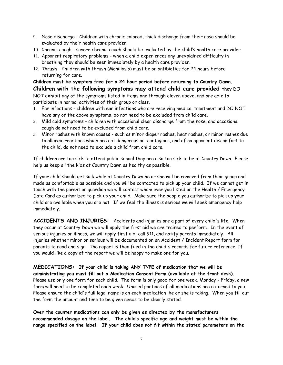- 9. Nose discharge Children with chronic colored, thick discharge from their nose should be evaluated by their health care provider.
- 10. Chronic cough severe chronic cough should be evaluated by the child's health care provider.
- 11. Apparent respiratory problems when a child experiences any unexplained difficulty in breathing they should be seen immediately by a health care provider.
- 12. Thrush Children with thrush (Moniliasis) must be on antibiotics for 24 hours before returning for care.

**Children must be symptom free for a 24 hour period before returning to Country Dawn. Children with the following symptoms may attend child care provided** they DO NOT exhibit any of the symptoms listed in items one through eleven above, and are able to participate in normal activities of their group or class.

- 1. Ear infections children with ear infections who are receiving medical treatment and DO NOT have any of the above symptoms, do not need to be excluded from child care.
- 2. Mild cold symptoms children with occasional clear discharge from the nose, and occasional cough do not need to be excluded from child care.
- 3. Minor rashes with known causes such as minor diaper rashes, heat rashes, or minor rashes due to allergic reactions which are not dangerous or contagious, and of no apparent discomfort to the child, do not need to exclude a child from child care.

If children are too sick to attend public school they are also too sick to be at Country Dawn. Please help us keep all the kids at Country Dawn as healthy as possible.

If your child should get sick while at Country Dawn he or she will be removed from their group and made as comfortable as possible and you will be contacted to pick up your child. If we cannot get in touch with the parent or guardian we will contact whom ever you listed on the Health / Emergency Data Card as authorized to pick up your child. Make sure the people you authorize to pick up your child are available when you are not. If we feel the illness is serious we will seek emergency help immediately.

**ACCIDENTS AND INJURIES:** Accidents and injuries are a part of every child's life. When they occur at Country Dawn we will apply the first aid we are trained to perform. In the event of serious injuries or illness, we will apply first aid, call 911, and notify parents immediately. All injuries whether minor or serious will be documented on an Accident / Incident Report form for parents to read and sign. The report is then filed in the child's records for future reference. If you would like a copy of the report we will be happy to make one for you.

**MEDICATIONS: If your child is taking ANY TYPE of medication that we will be administrating you must fill out a Medication Consent Form (available at the front desk)**. Please use only one form for each child. The form is only good for one week, Monday - Friday, a new form will need to be completed each week. Unused portions of all medications are returned to you. Please ensure the child's full legal name is on each medication he or she is taking. When you fill out the form the amount and time to be given needs to be clearly stated.

**Over the counter medications can only be given as directed by the manufacturers recommended dosage on the label. The child's specific age and weight must be within the range specified on the label. If your child does not fit within the stated parameters on the**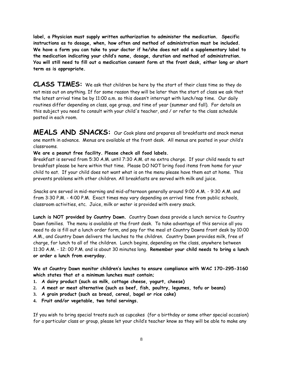**label, a Physician must supply written authorization to administer the medication. Specific instructions as to dosage, when, how often and method of administration must be included. We have a form you can take to your doctor if he/she does not add a supplementary label to the medication indicating your child's name, dosage, duration and method of administration. You will still need to fill out a medication consent form at the front desk, either long or short term as is appropriate.** 

**CLASS TIMES:** We ask that children be here by the start of their class time so they do not miss out on anything. If for some reason they will be later than the start of class we ask that the latest arrival time be by 11:00 a.m. so this doesn't interrupt with lunch/nap time. Our daily routines differ depending on class, age group, and time of year (summer and fall). For details on this subject you need to consult with your child's teacher, and / or refer to the class schedule posted in each room.

**MEALS AND SNACKS:** Our Cook plans and prepares all breakfasts and snack menus one month in advance. Menus are available at the front desk. All menus are posted in your child's classrooms.

#### **We are a peanut free facility. Please check all food labels.**

Breakfast is served from 5:30 A.M. until 7:30 A.M. at no extra charge. If your child needs to eat breakfast please be here within that time. Please DO NOT bring food items from home for your child to eat. If your child does not want what is on the menu please have them eat at home. This prevents problems with other children. All breakfasts are served with milk and juice.

Snacks are served in mid-morning and mid-afternoon generally around 9:00 A.M. - 9:30 A.M. and from 3:30 P.M. - 4:00 P.M. Exact times may vary depending on arrival time from public schools, classroom activities, etc. Juice, milk or water is provided with every snack.

**Lunch is NOT provided by Country Dawn.** Country Dawn does provide a lunch service to Country Dawn families. The menu is available at the front desk. To take advantage of this service all you need to do is fill out a lunch order form, and pay for the meal at Country Dawns front desk by 10:00 A.M., and Country Dawn delivers the lunches to the children. Country Dawn provides milk, free of charge, for lunch to all of the children. Lunch begins, depending on the class, anywhere between 11:30 A.M. - 12: 00 P.M. and is about 30 minutes long. **Remember your child needs to bring a lunch or order a lunch from everyday.**

**We at Country Dawn monitor children's lunches to ensure compliance with WAC 170-295-3160 which states that at a minimum lunches must contain;**

- **1. A dairy product (such as milk, cottage cheese, yogurt, cheese)**
- **2. A meat or meat alternative (such as beef, fish, poultry, legumes, tofu or beans)**
- **3. A grain product (such as bread, cereal, bagel or rice cake)**
- **4. Fruit and/or vegetable, two total servings.**

If you wish to bring special treats such as cupcakes (for a birthday or some other special occasion) for a particular class or group, please let your child's teacher know so they will be able to make any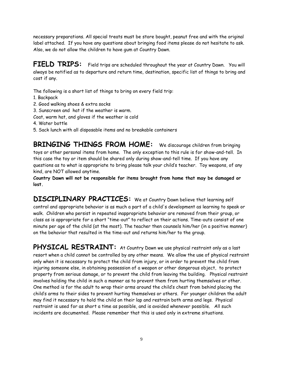necessary preparations. All special treats must be store bought, peanut free and with the original label attached. If you have any questions about bringing food items please do not hesitate to ask. Also, we do not allow the children to have gum at Country Dawn.

**FIELD TRIPS:** Field trips are scheduled throughout the year at Country Dawn. You will always be notified as to departure and return time, destination, specific list of things to bring and cost if any.

The following is a short list of things to bring on every field trip:

- 1. Backpack
- 2. Good walking shoes & extra socks
- 3. Sunscreen and hat if the weather is warm.
- Coat, warm hat, and gloves if the weather is cold
- 4. Water bottle
- 5. Sack lunch with all disposable items and no breakable containers

**BRINGING THINGS FROM HOME:** We discourage children from bringing toys or other personal items from home. The only exception to this rule is for show-and-tell. In this case the toy or item should be shared only during show-and-tell time. If you have any questions as to what is appropriate to bring please talk your child's teacher. Toy weapons, of any kind, are NOT allowed anytime.

**Country Dawn will not be responsible for items brought from home that may be damaged or lost.**

**DISCIPLINARY PRACTICES:** We at Country Dawn believe that learning self control and appropriate behavior is as much a part of a child's development as learning to speak or walk. Children who persist in repeated inappropriate behavior are removed from their group, or class as is appropriate for a short "time-out" to reflect on their actions. Time-outs consist of one minute per age of the child (at the most). The teacher then counsels him/her (in a positive manner) on the behavior that resulted in the time-out and returns him/her to the group.

PHYSICAL RESTRAINT: At Country Dawn we use physical restraint only as a last resort when a child cannot be controlled by any other means. We allow the use of physical restraint only when it is necessary to protect the child from injury, or in order to prevent the child from injuring someone else, in obtaining possession of a weapon or other dangerous object, to protect property from serious damage, or to prevent the child from leaving the building. Physical restraint involves holding the child in such a manner as to prevent them from hurting themselves or other. One method is for the adult to wrap their arms around the child's chest from behind placing the child's arms to their sides to prevent hurting themselves or others. For younger children the adult may find it necessary to hold the child on their lap and restrain both arms and legs. Physical restraint is used for as short a time as possible, and is avoided whenever possible. All such incidents are documented. Please remember that this is used only in extreme situations.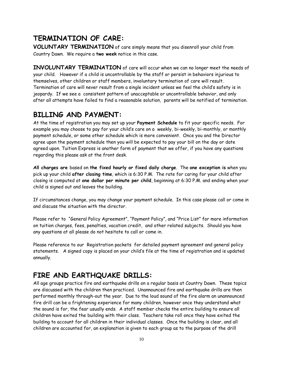# **TERMINATION OF CARE:**

**VOLUNTARY TERMINATION** of care simply means that you disenroll your child from Country Dawn. We require a **two week** notice in this case.

**INVOLUNTARY TERMINATION** of care will occur when we can no longer meet the needs of your child. However if a child is uncontrollable by the staff or persist in behaviors injurious to themselves, other children or staff members, involuntary termination of care will result. Termination of care will never result from a single incident unless we feel the child's safety is in jeopardy. If we see a consistent pattern of unacceptable or uncontrollable behavior, and only after all attempts have failed to find a reasonable solution, parents will be notified of termination.

## **BILLING AND PAYMENT:**

At the time of registration you may set up your **Payment Schedule** to fit your specific needs. For example you may choose to pay for your child's care on a weekly, bi-weekly, bi-monthly, or monthly payment schedule, or some other schedule which is more convenient. Once you and the Director agree upon the payment schedule then you will be expected to pay your bill on the day or date agreed upon. Tuition Express is another form of payment that we offer, if you have any questions regarding this please ask at the front desk.

**All charges are** based on **the fixed hourly or fixed daily charge**. The **one exception is** when you pick up your child **after closing time**, which is 6:30 P.M. The rate for caring for your child after closing is computed at **one dollar per minute per child**, beginning at 6:30 P.M. and ending when your child is signed out and leaves the building.

If circumstances change, you may change your payment schedule. In this case please call or come in and discuss the situation with the director.

Please refer to "General Policy Agreement", "Payment Policy", and "Price List" for more information on tuition charges, fees, penalties, vacation credit, and other related subjects. Should you have any questions at all please do not hesitate to call or come in.

Please reference to our Registration packets for detailed payment agreement and general policy statements. A signed copy is placed on your child's file at the time of registration and is updated annually.

# **FIRE AND EARTHQUAKE DRILLS:**

All age groups practice fire and earthquake drills on a regular basis at Country Dawn. These topics are discussed with the children then practiced. Unannounced fire and earthquake drills are then performed monthly through-out the year. Due to the loud sound of the fire alarm an unannounced fire drill can be a frightening experience for many children, however once they understand what the sound is for, the fear usually ends. A staff member checks the entire building to ensure all children have exited the building with their class. Teachers take roll once they have exited the building to account for all children in their individual classes. Once the building is clear, and all children are accounted for, an explanation is given to each group as to the purpose of the drill